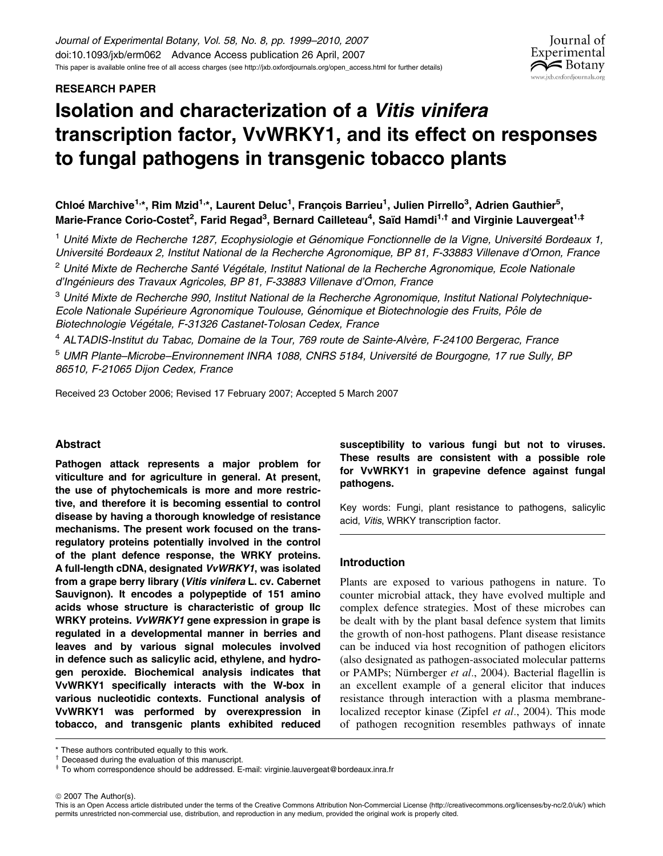# RESEARCH PAPER

# Isolation and characterization of a Vitis vinifera transcription factor, VvWRKY1, and its effect on responses to fungal pathogens in transgenic tobacco plants

Chloé Marchive<sup>1,</sup>\*, Rim Mzid<sup>1,</sup>\*, Laurent Deluc<sup>1</sup>, François Barrieu<sup>1</sup>, Julien Pirrello<sup>3</sup>, Adrien Gauthier<sup>5</sup>, Marie-France Corio-Costet<sup>2</sup>, Farid Regad<sup>3</sup>, Bernard Cailleteau<sup>4</sup>, Saïd Hamdi<sup>1,†</sup> and Virginie Lauvergeat<sup>1,‡</sup>

<sup>1</sup> Unité Mixte de Recherche 1287, Ecophysiologie et Génomique Fonctionnelle de la Vigne, Université Bordeaux 1, Université Bordeaux 2, Institut National de la Recherche Agronomique, BP 81, F-33883 Villenave d'Ornon, France

<sup>2</sup> Unité Mixte de Recherche Santé Végétale, Institut National de la Recherche Agronomique, Ecole Nationale d'Ingénieurs des Travaux Agricoles, BP 81, F-33883 Villenave d'Ornon, France

 $3$  Unité Mixte de Recherche 990, Institut National de la Recherche Agronomique, Institut National Polytechnique-Ecole Nationale Supérieure Agronomique Toulouse, Génomique et Biotechnologie des Fruits, Pôle de Biotechnologie Végétale, F-31326 Castanet-Tolosan Cedex, France

<sup>4</sup> ALTADIS-Institut du Tabac, Domaine de la Tour, 769 route de Sainte-Alvère, F-24100 Bergerac, France

<sup>5</sup> UMR Plante–Microbe–Environnement INRA 1088, CNRS 5184, Université de Bourgogne, 17 rue Sully, BP 86510, F-21065 Dijon Cedex, France

Received 23 October 2006; Revised 17 February 2007; Accepted 5 March 2007

## Abstract

Pathogen attack represents a major problem for viticulture and for agriculture in general. At present, the use of phytochemicals is more and more restrictive, and therefore it is becoming essential to control disease by having a thorough knowledge of resistance mechanisms. The present work focused on the transregulatory proteins potentially involved in the control of the plant defence response, the WRKY proteins. A full-length cDNA, designated VvWRKY1, was isolated from a grape berry library (Vitis vinifera L. cv. Cabernet Sauvignon). It encodes a polypeptide of 151 amino acids whose structure is characteristic of group IIc WRKY proteins. VvWRKY1 gene expression in grape is regulated in a developmental manner in berries and leaves and by various signal molecules involved in defence such as salicylic acid, ethylene, and hydrogen peroxide. Biochemical analysis indicates that VvWRKY1 specifically interacts with the W-box in various nucleotidic contexts. Functional analysis of VvWRKY1 was performed by overexpression in tobacco, and transgenic plants exhibited reduced

susceptibility to various fungi but not to viruses. These results are consistent with a possible role for VvWRKY1 in grapevine defence against fungal pathogens.

Journal of Experimental  $\approx$  Botany w.jxb.oxfordjournals.org

Key words: Fungi, plant resistance to pathogens, salicylic acid, Vitis, WRKY transcription factor.

## Introduction

Plants are exposed to various pathogens in nature. To counter microbial attack, they have evolved multiple and complex defence strategies. Most of these microbes can be dealt with by the plant basal defence system that limits the growth of non-host pathogens. Plant disease resistance can be induced via host recognition of pathogen elicitors (also designated as pathogen-associated molecular patterns or PAMPs; Nürnberger et al., 2004). Bacterial flagellin is an excellent example of a general elicitor that induces resistance through interaction with a plasma membranelocalized receptor kinase (Zipfel et al., 2004). This mode of pathogen recognition resembles pathways of innate

© 2007 The Author(s).

This is an Open Access article distributed under the terms of the Creative Commons Attribution Non-Commercial License [\(http://creativecommons.org/licenses/by-nc/2.0/uk/\) w](http://creativecommons.org/licenses/by-nc/2.0/uk/)hich permits unrestricted non-commercial use, distribution, and reproduction in any medium, provided the original work is properly cited.

 $*$  These authors contributed equally to this work.<br> $*$  Deceased during the evaluation of this manuscript.

<sup>&</sup>lt;sup>‡</sup> To whom correspondence should be addressed. E-mail: virginie.lauvergeat@bordeaux.inra.fr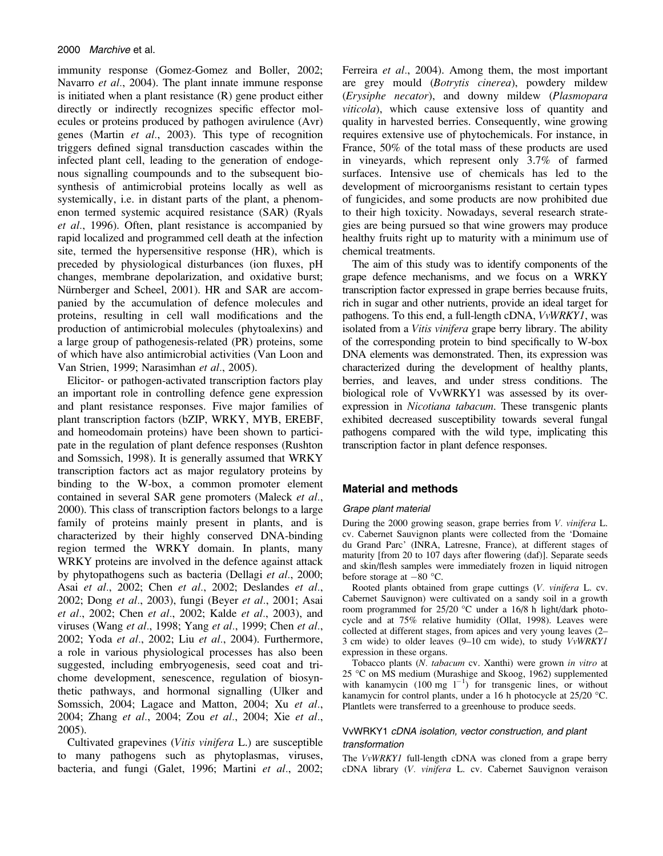immunity response (Gomez-Gomez and Boller, 2002; Navarro et al., 2004). The plant innate immune response is initiated when a plant resistance (R) gene product either directly or indirectly recognizes specific effector molecules or proteins produced by pathogen avirulence (Avr) genes (Martin et al., 2003). This type of recognition triggers defined signal transduction cascades within the infected plant cell, leading to the generation of endogenous signalling coumpounds and to the subsequent biosynthesis of antimicrobial proteins locally as well as systemically, i.e. in distant parts of the plant, a phenomenon termed systemic acquired resistance (SAR) (Ryals et al., 1996). Often, plant resistance is accompanied by rapid localized and programmed cell death at the infection site, termed the hypersensitive response (HR), which is preceded by physiological disturbances (ion fluxes, pH changes, membrane depolarization, and oxidative burst; Nürnberger and Scheel, 2001). HR and SAR are accompanied by the accumulation of defence molecules and proteins, resulting in cell wall modifications and the production of antimicrobial molecules (phytoalexins) and a large group of pathogenesis-related (PR) proteins, some of which have also antimicrobial activities (Van Loon and Van Strien, 1999; Narasimhan et al., 2005).

Elicitor- or pathogen-activated transcription factors play an important role in controlling defence gene expression and plant resistance responses. Five major families of plant transcription factors (bZIP, WRKY, MYB, EREBF, and homeodomain proteins) have been shown to participate in the regulation of plant defence responses (Rushton and Somssich, 1998). It is generally assumed that WRKY transcription factors act as major regulatory proteins by binding to the W-box, a common promoter element contained in several SAR gene promoters (Maleck et al., 2000). This class of transcription factors belongs to a large family of proteins mainly present in plants, and is characterized by their highly conserved DNA-binding region termed the WRKY domain. In plants, many WRKY proteins are involved in the defence against attack by phytopathogens such as bacteria (Dellagi et al., 2000; Asai et al., 2002; Chen et al., 2002; Deslandes et al., 2002; Dong et al., 2003), fungi (Beyer et al., 2001; Asai et al., 2002; Chen et al., 2002; Kalde et al., 2003), and viruses (Wang et al., 1998; Yang et al., 1999; Chen et al., 2002; Yoda et al., 2002; Liu et al., 2004). Furthermore, a role in various physiological processes has also been suggested, including embryogenesis, seed coat and trichome development, senescence, regulation of biosynthetic pathways, and hormonal signalling (Ulker and Somssich, 2004; Lagace and Matton, 2004; Xu et al., 2004; Zhang et al., 2004; Zou et al., 2004; Xie et al., 2005).

Cultivated grapevines (Vitis vinifera L.) are susceptible to many pathogens such as phytoplasmas, viruses, bacteria, and fungi (Galet, 1996; Martini et al., 2002; Ferreira et al., 2004). Among them, the most important are grey mould (Botrytis cinerea), powdery mildew (Erysiphe necator), and downy mildew (Plasmopara viticola), which cause extensive loss of quantity and quality in harvested berries. Consequently, wine growing requires extensive use of phytochemicals. For instance, in France, 50% of the total mass of these products are used in vineyards, which represent only 3.7% of farmed surfaces. Intensive use of chemicals has led to the development of microorganisms resistant to certain types of fungicides, and some products are now prohibited due to their high toxicity. Nowadays, several research strategies are being pursued so that wine growers may produce healthy fruits right up to maturity with a minimum use of chemical treatments.

The aim of this study was to identify components of the grape defence mechanisms, and we focus on a WRKY transcription factor expressed in grape berries because fruits, rich in sugar and other nutrients, provide an ideal target for pathogens. To this end, a full-length cDNA, VvWRKY1, was isolated from a Vitis vinifera grape berry library. The ability of the corresponding protein to bind specifically to W-box DNA elements was demonstrated. Then, its expression was characterized during the development of healthy plants, berries, and leaves, and under stress conditions. The biological role of VvWRKY1 was assessed by its overexpression in Nicotiana tabacum. These transgenic plants exhibited decreased susceptibility towards several fungal pathogens compared with the wild type, implicating this transcription factor in plant defence responses.

## Material and methods

#### Grape plant material

During the 2000 growing season, grape berries from V. vinifera L. cv. Cabernet Sauvignon plants were collected from the 'Domaine du Grand Parc' (INRA, Latresne, France), at different stages of maturity [from 20 to 107 days after flowering (daf)]. Separate seeds and skin/flesh samples were immediately frozen in liquid nitrogen before storage at  $-80$  °C.

Rooted plants obtained from grape cuttings (V. vinifera L. cv. Cabernet Sauvignon) were cultivated on a sandy soil in a growth room programmed for  $25/20$  °C under a 16/8 h light/dark photocycle and at 75% relative humidity (Ollat, 1998). Leaves were collected at different stages, from apices and very young leaves (2– 3 cm wide) to older leaves (9–10 cm wide), to study VvWRKY1 expression in these organs.

Tobacco plants (N. tabacum cv. Xanthi) were grown in vitro at 25 °C on MS medium (Murashige and Skoog, 1962) supplemented with kanamycin  $(100 \text{ mg } 1^{-1})$  for transgenic lines, or without kanamycin for control plants, under a 16 h photocycle at 25/20 °C. Plantlets were transferred to a greenhouse to produce seeds.

#### VvWRKY1 cDNA isolation, vector construction, and plant transformation

The VvWRKY1 full-length cDNA was cloned from a grape berry cDNA library (V. vinifera L. cv. Cabernet Sauvignon veraison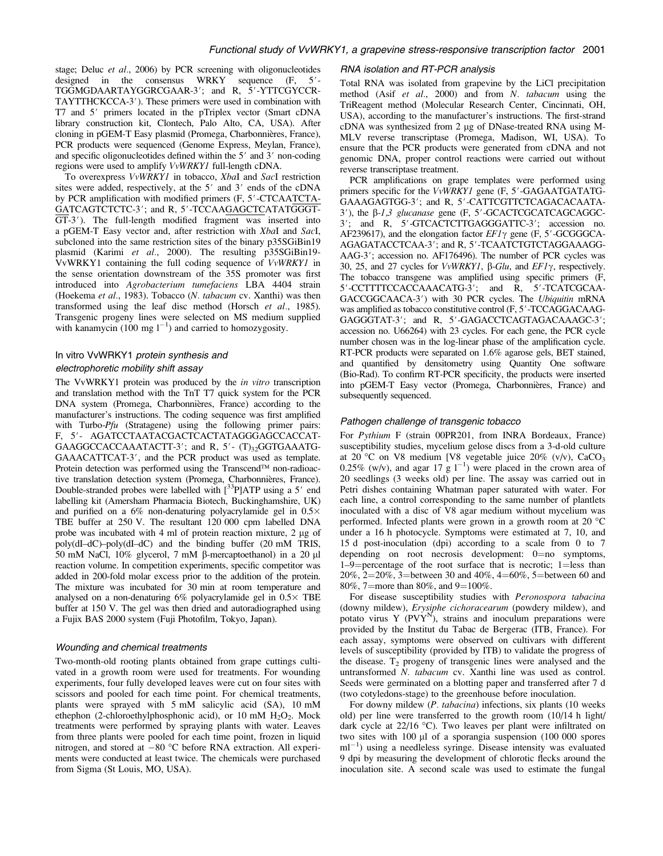stage; Deluc et al., 2006) by PCR screening with oligonucleotides designed in the consensus WRKY sequence  $(F, 5'$ -TGGMGDAARTAYGGRCGAAR-3'; and R, 5'-YTTCGYCCR-TAYTTHCKCCA-3'). These primers were used in combination with T7 and 5' primers located in the pTriplex vector (Smart cDNA library construction kit, Clontech, Palo Alto, CA, USA). After cloning in pGEM-T Easy plasmid (Promega, Charbonnières, France), PCR products were sequenced (Genome Express, Meylan, France), and specific oligonucleotides defined within the  $5'$  and  $3'$  non-coding regions were used to amplify VvWRKY1 full-length cDNA.

To overexpress  $VvW\overrightarrow{RXY}$  in tobacco,  $XbaI$  and  $SacI$  restriction sites were added, respectively, at the  $5'$  and  $3'$  ends of the cDNA by PCR amplification with modified primers (F, 5'-CTCAATCTA-GATCAGTCTCTC-3'; and R, 5'-TCCAAGAGCTCATATGGGT-GT-3<sup>'</sup>). The full-length modified fragment was inserted into a pGEM-T Easy vector and, after restriction with XbaI and SacI, subcloned into the same restriction sites of the binary p35SGiBin19 plasmid (Karimi et al., 2000). The resulting p35SGiBin19-VvWRKY1 containing the full coding sequence of VvWRKY1 in the sense orientation downstream of the 35S promoter was first introduced into Agrobacterium tumefaciens LBA 4404 strain (Hoekema et al., 1983). Tobacco (N. tabacum cv. Xanthi) was then transformed using the leaf disc method (Horsch et al., 1985). Transgenic progeny lines were selected on MS medium supplied with kanamycin  $(100 \text{ mg l}^{-1})$  and carried to homozygosity.

## In vitro VvWRKY1 protein synthesis and electrophoretic mobility shift assay

The VvWRKY1 protein was produced by the *in vitro* transcription and translation method with the TnT T7 quick system for the PCR DNA system (Promega, Charbonnières, France) according to the manufacturer's instructions. The coding sequence was first amplified with Turbo-Pfu (Stratagene) using the following primer pairs: F, 5'- AGATCCTAATACGACTCACTATAGGGAGCCACCAT-GAAGGCCACCAAATACTT-3'; and R,  $5'$ -  $(T)_{32}$ GGTGAAATG-GAAACATTCAT-3', and the PCR product was used as template. Protein detection was performed using the Transcend<sup>TM</sup> non-radioactive translation detection system (Promega, Charbonnières, France). Double-stranded probes were labelled with  $[33P]$ ATP using a 5' end labelling kit (Amersham Pharmacia Biotech, Buckinghamshire, UK) and purified on a  $6\%$  non-denaturing polyacrylamide gel in  $0.5\times$ TBE buffer at 250 V. The resultant 120 000 cpm labelled DNA probe was incubated with  $4 \text{ ml}$  of protein reaction mixture,  $2 \mu$ g of poly(dI–dC)–poly(dI–dC) and the binding buffer (20 mM TRIS, 50 mM NaCl,  $10\%$  glycerol, 7 mM  $\beta$ -mercaptoethanol) in a 20  $\mu$ l reaction volume. In competition experiments, specific competitor was added in 200-fold molar excess prior to the addition of the protein. The mixture was incubated for 30 min at room temperature and analysed on a non-denaturing  $6\%$  polyacrylamide gel in  $0.5\times$  TBE buffer at 150 V. The gel was then dried and autoradiographed using a Fujix BAS 2000 system (Fuji Photofilm, Tokyo, Japan).

#### Wounding and chemical treatments

Two-month-old rooting plants obtained from grape cuttings cultivated in a growth room were used for treatments. For wounding experiments, four fully developed leaves were cut on four sites with scissors and pooled for each time point. For chemical treatments, plants were sprayed with 5 mM salicylic acid (SA), 10 mM ethephon (2-chloroethylphosphonic acid), or 10 mM  $H_2O_2$ . Mock treatments were performed by spraying plants with water. Leaves from three plants were pooled for each time point, frozen in liquid nitrogen, and stored at  $-80$  °C before RNA extraction. All experiments were conducted at least twice. The chemicals were purchased from Sigma (St Louis, MO, USA).

#### RNA isolation and RT-PCR analysis

Total RNA was isolated from grapevine by the LiCl precipitation method (Asif et al., 2000) and from N. tabacum using the TriReagent method (Molecular Research Center, Cincinnati, OH, USA), according to the manufacturer's instructions. The first-strand cDNA was synthesized from 2 µg of DNase-treated RNA using M-MLV reverse transcriptase (Promega, Madison, WI, USA). To ensure that the PCR products were generated from cDNA and not genomic DNA, proper control reactions were carried out without reverse transcriptase treatment.

PCR amplifications on grape templates were performed using primers specific for the  $VvWRKYI$  gene  $(F, 5'-GAGAATGATATG-$ GAAAGAGTGG-3'; and R, 5'-CATTCGTTCTCAGACACAATA- $3'$ ), the  $\beta$ -1,3 glucanase gene (F,  $5'$ -GCACTCGCATCAGCAGGC-3'; and R, 5'-GTCACTCTTGAGGGATTC-3'; accession no. AF239617), and the elongation factor  $EFI\gamma$  gene (F, 5'-GCGGGCA-AGAGATACCTCAA-3'; and R, 5'-TCAATCTGTCTAGGAAAGG-AAG-3'; accession no. AF176496). The number of PCR cycles was 30, 25, and 27 cycles for *VvWRKY1*,  $\beta$ -*Glu*, and *EF1* $\gamma$ , respectively. The tobacco transgene was amplified using specific primers (F, 5'-CCTTTTCCACCAAACATG-3'; and R, 5'-TCATCGCAA-GACCGGCAACA-3') with 30 PCR cycles. The Ubiquitin mRNA was amplified as tobacco constitutive control (F, 5'-TCCAGGACAAG-GAGGGTAT-3'; and R, 5'-GAGACCTCAGTAGACAAAGC-3'; accession no. U66264) with 23 cycles. For each gene, the PCR cycle number chosen was in the log-linear phase of the amplification cycle. RT-PCR products were separated on 1.6% agarose gels, BET stained, and quantified by densitometry using Quantity One software (Bio-Rad). To confirm RT-PCR specificity, the products were inserted into pGEM-T Easy vector (Promega, Charbonnières, France) and subsequently sequenced.

#### Pathogen challenge of transgenic tobacco

For Pythium F (strain 00PR201, from INRA Bordeaux, France) susceptibility studies, mycelium gelose discs from a 3-d-old culture at 20 °C on V8 medium [V8 vegetable juice 20%  $(v/v)$ , CaCO<sub>3</sub> 0.25% (w/v), and agar 17 g  $1^{-1}$ ) were placed in the crown area of 20 seedlings (3 weeks old) per line. The assay was carried out in Petri dishes containing Whatman paper saturated with water. For each line, a control corresponding to the same number of plantlets inoculated with a disc of V8 agar medium without mycelium was performed. Infected plants were grown in a growth room at 20  $^{\circ}$ C under a 16 h photocycle. Symptoms were estimated at 7, 10, and 15 d post-inoculation (dpi) according to a scale from 0 to 7 depending on root necrosis development:  $0=$ no symptoms,  $1-9$ =percentage of the root surface that is necrotic;  $1=$ less than 20%, 2=20%, 3=between 30 and 40%, 4=60%, 5=between 60 and 80%, 7=more than 80%, and 9=100%.

For disease susceptibility studies with Peronospora tabacina (downy mildew), Erysiphe cichoracearum (powdery mildew), and potato virus Y  $(PVY^N)$ , strains and inoculum preparations were provided by the Institut du Tabac de Bergerac (ITB, France). For each assay, symptoms were observed on cultivars with different levels of susceptibility (provided by ITB) to validate the progress of the disease.  $T_2$  progeny of transgenic lines were analysed and the untransformed N. tabacum cv. Xanthi line was used as control. Seeds were germinated on a blotting paper and transferred after 7 d (two cotyledons-stage) to the greenhouse before inoculation.

For downy mildew (P. tabacina) infections, six plants (10 weeks old) per line were transferred to the growth room (10/14 h light/ dark cycle at  $22/16$  °C). Two leaves per plant were infiltrated on two sites with 100 µl of a sporangia suspension (100 000 spores ml<sup>-1</sup>) using a needleless syringe. Disease intensity was evaluated 9 dpi by measuring the development of chlorotic flecks around the inoculation site. A second scale was used to estimate the fungal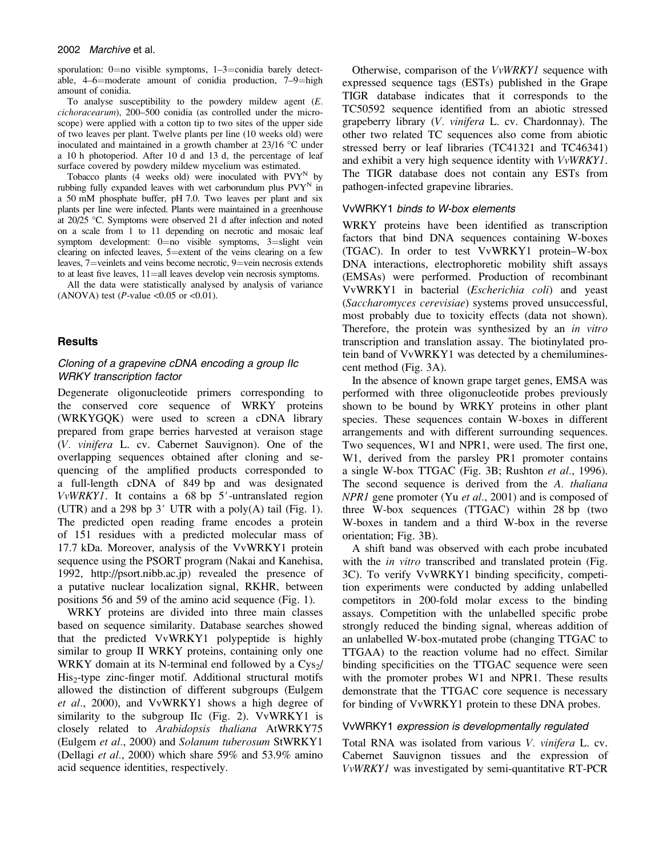#### 2002 Marchive et al.

sporulation:  $0=$ no visible symptoms,  $1-3=$ conidia barely detectable,  $4-6$ =moderate amount of conidia production,  $7-9$ =high amount of conidia.

To analyse susceptibility to the powdery mildew agent (E. cichoracearum), 200–500 conidia (as controlled under the microscope) were applied with a cotton tip to two sites of the upper side of two leaves per plant. Twelve plants per line (10 weeks old) were inoculated and maintained in a growth chamber at  $23/16$  °C under a 10 h photoperiod. After 10 d and 13 d, the percentage of leaf surface covered by powdery mildew mycelium was estimated.

Tobacco plants  $(A$  weeks old) were inoculated with  $PVT^{N}$  by rubbing fully expanded leaves with wet carborundum plus  $P VY^N$  in a 50 mM phosphate buffer, pH 7.0. Two leaves per plant and six plants per line were infected. Plants were maintained in a greenhouse at  $20/25$  °C. Symptoms were observed 21 d after infection and noted on a scale from 1 to 11 depending on necrotic and mosaic leaf symptom development:  $0=$ no visible symptoms,  $3=$ slight vein clearing on infected leaves, 5=extent of the veins clearing on a few leaves, 7=veinlets and veins become necrotic, 9=vein necrosis extends to at least five leaves,  $11$ =all leaves develop vein necrosis symptoms.

All the data were statistically analysed by analysis of variance (ANOVA) test (*P*-value <0.05 or <0.01).

### **Results**

# Cloning of a grapevine cDNA encoding a group IIc WRKY transcription factor

Degenerate oligonucleotide primers corresponding to the conserved core sequence of WRKY proteins (WRKYGQK) were used to screen a cDNA library prepared from grape berries harvested at veraison stage (V. vinifera L. cv. Cabernet Sauvignon). One of the overlapping sequences obtained after cloning and sequencing of the amplified products corresponded to a full-length cDNA of 849 bp and was designated  $VvWRKY1$ . It contains a 68 bp 5'-untranslated region (UTR) and a 298 bp  $3'$  UTR with a poly(A) tail (Fig. 1). The predicted open reading frame encodes a protein of 151 residues with a predicted molecular mass of 17.7 kDa. Moreover, analysis of the VvWRKY1 protein sequence using the PSORT program (Nakai and Kanehisa, 1992, [http://psort.nibb.ac.jp\)](http://psort.nibb.ac.jp) revealed the presence of a putative nuclear localization signal, RKHR, between positions 56 and 59 of the amino acid sequence (Fig. 1).

WRKY proteins are divided into three main classes based on sequence similarity. Database searches showed that the predicted VvWRKY1 polypeptide is highly similar to group II WRKY proteins, containing only one WRKY domain at its N-terminal end followed by a  $Cvs<sub>2</sub>/$ His<sub>2</sub>-type zinc-finger motif. Additional structural motifs allowed the distinction of different subgroups (Eulgem et al., 2000), and VvWRKY1 shows a high degree of similarity to the subgroup IIc (Fig. 2). VvWRKY1 is closely related to Arabidopsis thaliana AtWRKY75 (Eulgem et al., 2000) and Solanum tuberosum StWRKY1 (Dellagi et al., 2000) which share 59% and 53.9% amino acid sequence identities, respectively.

Otherwise, comparison of the VvWRKY1 sequence with expressed sequence tags (ESTs) published in the Grape TIGR database indicates that it corresponds to the TC50592 sequence identified from an abiotic stressed grapeberry library (V. vinifera L. cv. Chardonnay). The other two related TC sequences also come from abiotic stressed berry or leaf libraries (TC41321 and TC46341) and exhibit a very high sequence identity with VvWRKY1. The TIGR database does not contain any ESTs from pathogen-infected grapevine libraries.

#### VvWRKY1 binds to W-box elements

WRKY proteins have been identified as transcription factors that bind DNA sequences containing W-boxes (TGAC). In order to test VvWRKY1 protein–W-box DNA interactions, electrophoretic mobility shift assays (EMSAs) were performed. Production of recombinant VvWRKY1 in bacterial (Escherichia coli) and yeast (Saccharomyces cerevisiae) systems proved unsuccessful, most probably due to toxicity effects (data not shown). Therefore, the protein was synthesized by an *in vitro* transcription and translation assay. The biotinylated protein band of VvWRKY1 was detected by a chemiluminescent method (Fig. 3A).

In the absence of known grape target genes, EMSA was performed with three oligonucleotide probes previously shown to be bound by WRKY proteins in other plant species. These sequences contain W-boxes in different arrangements and with different surrounding sequences. Two sequences, W1 and NPR1, were used. The first one, W<sub>1</sub>, derived from the parsley PR<sub>1</sub> promoter contains a single W-box TTGAC (Fig. 3B; Rushton et al., 1996). The second sequence is derived from the A. thaliana NPR1 gene promoter (Yu *et al.*, 2001) and is composed of three W-box sequences (TTGAC) within 28 bp (two W-boxes in tandem and a third W-box in the reverse orientation; Fig. 3B).

A shift band was observed with each probe incubated with the *in vitro* transcribed and translated protein (Fig. 3C). To verify VvWRKY1 binding specificity, competition experiments were conducted by adding unlabelled competitors in 200-fold molar excess to the binding assays. Competition with the unlabelled specific probe strongly reduced the binding signal, whereas addition of an unlabelled W-box-mutated probe (changing TTGAC to TTGAA) to the reaction volume had no effect. Similar binding specificities on the TTGAC sequence were seen with the promoter probes W1 and NPR1. These results demonstrate that the TTGAC core sequence is necessary for binding of VvWRKY1 protein to these DNA probes.

#### VvWRKY1 expression is developmentally regulated

Total RNA was isolated from various V. vinifera L. cv. Cabernet Sauvignon tissues and the expression of VvWRKY1 was investigated by semi-quantitative RT-PCR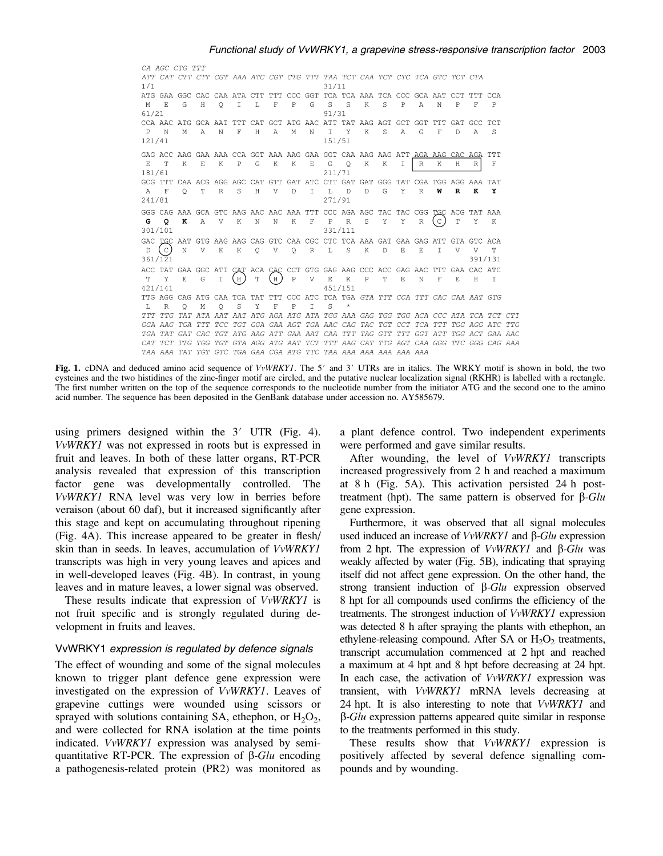CA AGC CTG TTT ATT CAT CTT CTT CGT AAA ATC CGT CTG TTT TAA TCT CAA TCT CTC TCA GTC TCT CTA  $1/1$  $31/11$ ATG GAA GGC CAC CAA ATA CTT TTT CCC GGT TCA TCA AAA TCA CCC GCA AAT CCT TTT CCA  $M = E$  $\begin{array}{cccccccccccccc} \mathsf{G} & & \mathsf{H} & & \mathsf{Q} & & \mathsf{I} & & \mathsf{L} & & \mathsf{F} \end{array}$  $\, {\bf P}$  $\mathbb{G}$  $S-S$  $\begin{tabular}{cccccc} $\mathbb{S}$ & $\mathbb{P}$ & $\mathbb{A}$ & $\mathbb{N}$ & $\mathbb{P}$ \\ \end{tabular}$  $K$  $\mathbb F$  $\, {\bf P}$  $91/31$  $61/21$ CCA AAC ATG GCA AAT TTT CAT GCT ATG AAC ATT TAT AAG AGT GCT GGT TTT GAT GCC TCT  $P$ N M A N F  $H$  $A$  $M$  $\;$  N  $\mathbb{I}$ Y K S  $A$  $G$   $F$  $D$ - A S 151/51 121/41 GAG ACC AAG GAA AAA CCA GGT AAA AAG GAA GGT CAA AAG AAG ATT AGA AAG CAC AGA TTT  $\mathbb R$  $E = T$  $K$  $E$   $K$   $P$  $G$  K  $\;$  K  $\mathbf E$  $G \cap$  $\mathbbm{K}^ K$  I  $R$  $K$  $H$  $\mathbf{F}$  $211/71$ 181/61 GCG TTT CAA ACG AGG AGC CAT GTT GAT ATC CTT GAT GAT GGG TAT CGA TGG AGG AAA TAT  $\mathbf F$  $Q$  T R S  $\,$  H  $\,$  $\vee$  $\hfill \Box$  $\mathbb L$  $\Box$  $\mathbb D$  $\mathbb{G}$  $\mathbb R^ \bf W$  $\mathbf{R}$ A  $\mathbbm{1}$  $\mathbf{Y}$  $\mathbf{K}$  $\mathbf{Y}$ 271/91 241/81 GGG CAG AAA GCA GTC AAG AAC AAC AAA TTT CCC AGA AGC TAC TAC CGG TGC ACG TAT AAA **G** Q **K** A V K N N K F P R S Y Y R  $\overline{C}$  T Y K 301/101 331/111 ACC TAT GAA GGC ATT CAT ACA CAC CCT GTG GAG AAG CCC ACC GAG AAC TTT GAA CAC ATC T Y E G I (H) T (H) P V E K P T E N F E H I 421/141 451/151 TTG AGG CAG ATG CAA TCA TAT TTT CCC ATC TCA TGA GTA TTT CCA TTT CAC CAA AAT GTG  $L \times R$ O M O S Y F P  $T$ -S. GGA AAG TGA TTT TCC TGT GGA GAA AGT TGA AAC CAG TAC TGT CCT TCA TTT TGG AGG ATC TTG TGA TAT GAT CAC TGT ATG AAG ATT GAA AAT CAA TTT TAG GTT TTT GGT ATT TGG ACT GAA AAC CAT TCT TTG TGG TGT GTA AGG ATG AAT TCT TTT AAG CAT TTG AGT CAA GGG TTC GGG CAG AAA TAA AAA TAT TGT GTC TGA GAA CGA ATG TTC TAA AAA AAA AAA AAA AAA

Fig. 1. cDNA and deduced amino acid sequence of VvWRKY1. The 5' and 3' UTRs are in italics. The WRKY motif is shown in bold, the two cysteines and the two histidines of the zinc-finger motif are circled, and the putative nuclear localization signal (RKHR) is labelled with a rectangle. The first number written on the top of the sequence corresponds to the nucleotide number from the initiator ATG and the second one to the amino acid number. The sequence has been deposited in the GenBank database under accession no. AY585679.

using primers designed within the  $3'$  UTR (Fig. 4). VvWRKY1 was not expressed in roots but is expressed in fruit and leaves. In both of these latter organs, RT-PCR analysis revealed that expression of this transcription factor gene was developmentally controlled. The VvWRKY1 RNA level was very low in berries before veraison (about 60 daf), but it increased significantly after this stage and kept on accumulating throughout ripening (Fig. 4A). This increase appeared to be greater in flesh/ skin than in seeds. In leaves, accumulation of VvWRKY1 transcripts was high in very young leaves and apices and in well-developed leaves (Fig. 4B). In contrast, in young leaves and in mature leaves, a lower signal was observed.

These results indicate that expression of VvWRKY1 is not fruit specific and is strongly regulated during development in fruits and leaves.

#### VvWRKY1 expression is regulated by defence signals

The effect of wounding and some of the signal molecules known to trigger plant defence gene expression were investigated on the expression of VvWRKY1. Leaves of grapevine cuttings were wounded using scissors or sprayed with solutions containing SA, ethephon, or  $H_2O_2$ , and were collected for RNA isolation at the time points indicated. VvWRKY1 expression was analysed by semiquantitative RT-PCR. The expression of  $\beta$ -Glu encoding a pathogenesis-related protein (PR2) was monitored as a plant defence control. Two independent experiments were performed and gave similar results.

After wounding, the level of VvWRKY1 transcripts increased progressively from 2 h and reached a maximum at 8 h (Fig. 5A). This activation persisted 24 h posttreatment (hpt). The same pattern is observed for  $\beta$ -Glu gene expression.

Furthermore, it was observed that all signal molecules used induced an increase of  $VvWRKYI$  and  $\beta$ -Glu expression from 2 hpt. The expression of  $VvWRKY1$  and  $\beta$ -Glu was weakly affected by water (Fig. 5B), indicating that spraying itself did not affect gene expression. On the other hand, the strong transient induction of  $\beta$ -Glu expression observed 8 hpt for all compounds used confirms the efficiency of the treatments. The strongest induction of VvWRKY1 expression was detected 8 h after spraying the plants with ethephon, an ethylene-releasing compound. After SA or  $H_2O_2$  treatments, transcript accumulation commenced at 2 hpt and reached a maximum at 4 hpt and 8 hpt before decreasing at 24 hpt. In each case, the activation of VvWRKY1 expression was transient, with VvWRKY1 mRNA levels decreasing at 24 hpt. It is also interesting to note that VvWRKY1 and  $\beta$ -*Glu* expression patterns appeared quite similar in response to the treatments performed in this study.

These results show that VvWRKY1 expression is positively affected by several defence signalling compounds and by wounding.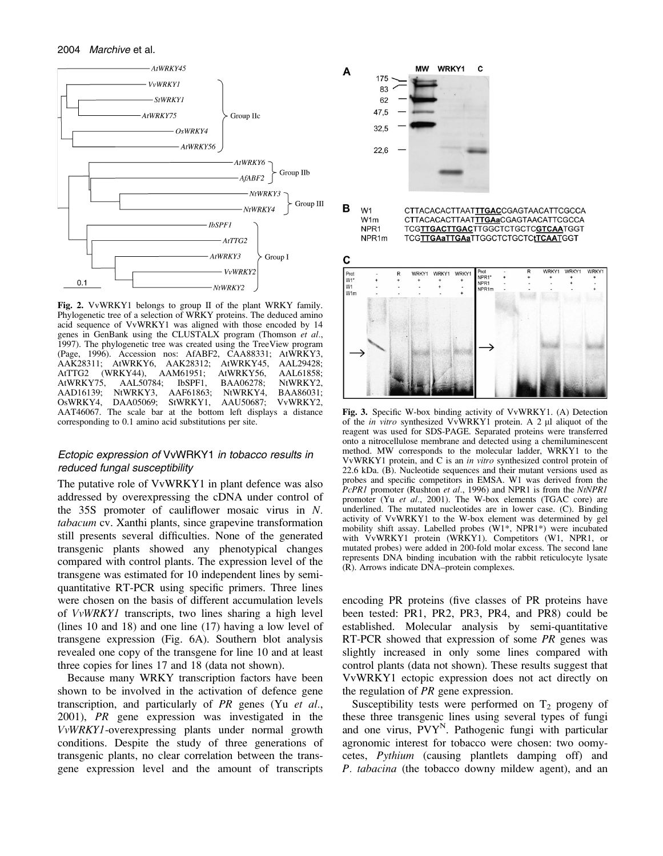

Fig. 2. VvWRKY1 belongs to group II of the plant WRKY family. Phylogenetic tree of a selection of WRKY proteins. The deduced amino acid sequence of VvWRKY1 was aligned with those encoded by 14 genes in GenBank using the CLUSTALX program (Thomson et al., 1997). The phylogenetic tree was created using the TreeView program (Page, 1996). Accession nos: AfABF2, CAA88331; AtWRKY3, AAK28311; AtWRKY6, AAK28312; AtWRKY45, AAL29428; AAK28311; AtWRKY6, AAK28312; AtWRKY45, AAL29428; AtTTG2 (WRKY44), AAM61951; AtWRKY56, AAL61858; AtWRKY75, AAL50784; IbSPF1, BAA06278; AAD16139; NtWRKY3, AAF61863; NtWRKY4, BAA86031; DAA05069; AAT46067. The scale bar at the bottom left displays a distance corresponding to 0.1 amino acid substitutions per site.

## Ectopic expression of VvWRKY1 in tobacco results in reduced fungal susceptibility

The putative role of VvWRKY1 in plant defence was also addressed by overexpressing the cDNA under control of the 35S promoter of cauliflower mosaic virus in N. tabacum cv. Xanthi plants, since grapevine transformation still presents several difficulties. None of the generated transgenic plants showed any phenotypical changes compared with control plants. The expression level of the transgene was estimated for 10 independent lines by semiquantitative RT-PCR using specific primers. Three lines were chosen on the basis of different accumulation levels of VvWRKY1 transcripts, two lines sharing a high level (lines 10 and 18) and one line (17) having a low level of transgene expression (Fig. 6A). Southern blot analysis revealed one copy of the transgene for line 10 and at least three copies for lines 17 and 18 (data not shown).

Because many WRKY transcription factors have been shown to be involved in the activation of defence gene transcription, and particularly of PR genes (Yu et al., 2001), PR gene expression was investigated in the VvWRKY1-overexpressing plants under normal growth conditions. Despite the study of three generations of transgenic plants, no clear correlation between the transgene expression level and the amount of transcripts



Fig. 3. Specific W-box binding activity of VvWRKY1. (A) Detection of the *in vitro* synthesized VvWRKY1 protein. A 2 µl aliquot of the reagent was used for SDS-PAGE. Separated proteins were transferred onto a nitrocellulose membrane and detected using a chemiluminescent method. MW corresponds to the molecular ladder, WRKY1 to the VvWRKY1 protein, and C is an in vitro synthesized control protein of 22.6 kDa. (B). Nucleotide sequences and their mutant versions used as probes and specific competitors in EMSA. W1 was derived from the PcPR1 promoter (Rushton et al., 1996) and NPR1 is from the NtNPR1 promoter (Yu et al., 2001). The W-box elements (TGAC core) are underlined. The mutated nucleotides are in lower case. (C). Binding activity of VvWRKY1 to the W-box element was determined by gel mobility shift assay. Labelled probes (W1\*, NPR1\*) were incubated with VvWRKY1 protein (WRKY1). Competitors (W1, NPR1, or mutated probes) were added in 200-fold molar excess. The second lane represents DNA binding incubation with the rabbit reticulocyte lysate (R). Arrows indicate DNA–protein complexes.

encoding PR proteins (five classes of PR proteins have been tested: PR1, PR2, PR3, PR4, and PR8) could be established. Molecular analysis by semi-quantitative RT-PCR showed that expression of some PR genes was slightly increased in only some lines compared with control plants (data not shown). These results suggest that VvWRKY1 ectopic expression does not act directly on the regulation of PR gene expression.

Susceptibility tests were performed on  $T_2$  progeny of these three transgenic lines using several types of fungi and one virus,  $PVT^N$ . Pathogenic fungi with particular agronomic interest for tobacco were chosen: two oomycetes, Pythium (causing plantlets damping off) and P. tabacina (the tobacco downy mildew agent), and an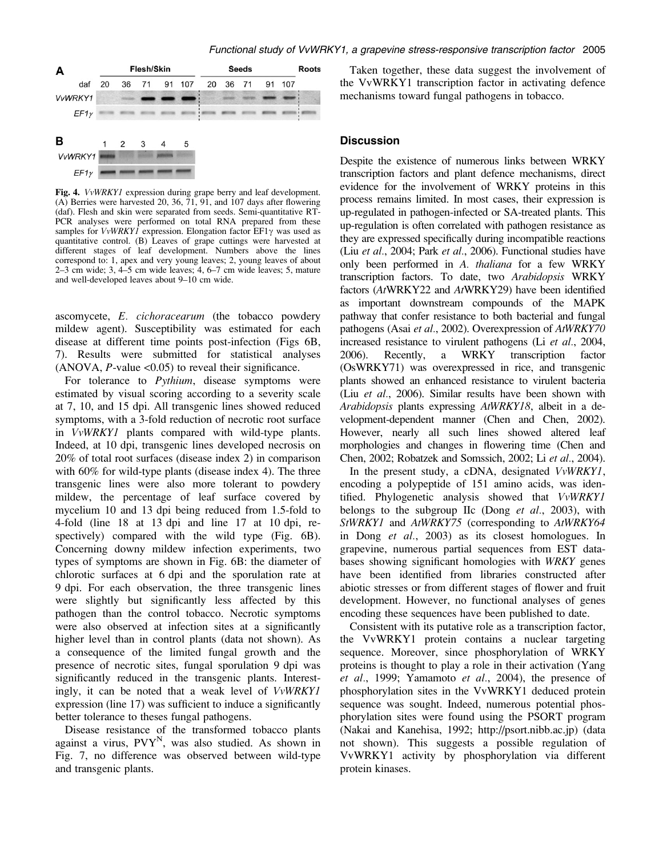

Fig. 4. *VvWRKY1* expression during grape berry and leaf development. (A) Berries were harvested 20, 36, 71, 91, and 107 days after flowering (daf). Flesh and skin were separated from seeds. Semi-quantitative RT-PCR analyses were performed on total RNA prepared from these samples for  $VvWRKYI$  expression. Elongation factor  $EFI\gamma$  was used as quantitative control. (B) Leaves of grape cuttings were harvested at different stages of leaf development. Numbers above the lines correspond to: 1, apex and very young leaves; 2, young leaves of about 2–3 cm wide; 3, 4–5 cm wide leaves; 4, 6–7 cm wide leaves; 5, mature and well-developed leaves about 9–10 cm wide.

ascomycete, E. cichoracearum (the tobacco powdery mildew agent). Susceptibility was estimated for each disease at different time points post-infection (Figs 6B, 7). Results were submitted for statistical analyses  $(ANOVA, P-value < 0.05)$  to reveal their significance.

For tolerance to Pythium, disease symptoms were estimated by visual scoring according to a severity scale at 7, 10, and 15 dpi. All transgenic lines showed reduced symptoms, with a 3-fold reduction of necrotic root surface in VvWRKY1 plants compared with wild-type plants. Indeed, at 10 dpi, transgenic lines developed necrosis on 20% of total root surfaces (disease index 2) in comparison with 60% for wild-type plants (disease index 4). The three transgenic lines were also more tolerant to powdery mildew, the percentage of leaf surface covered by mycelium 10 and 13 dpi being reduced from 1.5-fold to 4-fold (line 18 at 13 dpi and line 17 at 10 dpi, respectively) compared with the wild type (Fig. 6B). Concerning downy mildew infection experiments, two types of symptoms are shown in Fig. 6B: the diameter of chlorotic surfaces at 6 dpi and the sporulation rate at 9 dpi. For each observation, the three transgenic lines were slightly but significantly less affected by this pathogen than the control tobacco. Necrotic symptoms were also observed at infection sites at a significantly higher level than in control plants (data not shown). As a consequence of the limited fungal growth and the presence of necrotic sites, fungal sporulation 9 dpi was significantly reduced in the transgenic plants. Interestingly, it can be noted that a weak level of VvWRKY1 expression (line 17) was sufficient to induce a significantly better tolerance to theses fungal pathogens.

Disease resistance of the transformed tobacco plants against a virus,  $PVT^N$ , was also studied. As shown in Fig. 7, no difference was observed between wild-type and transgenic plants.

Taken together, these data suggest the involvement of the VvWRKY1 transcription factor in activating defence mechanisms toward fungal pathogens in tobacco.

## **Discussion**

Despite the existence of numerous links between WRKY transcription factors and plant defence mechanisms, direct evidence for the involvement of WRKY proteins in this process remains limited. In most cases, their expression is up-regulated in pathogen-infected or SA-treated plants. This up-regulation is often correlated with pathogen resistance as they are expressed specifically during incompatible reactions (Liu et al., 2004; Park et al., 2006). Functional studies have only been performed in A. thaliana for a few WRKY transcription factors. To date, two Arabidopsis WRKY factors (AtWRKY22 and AtWRKY29) have been identified as important downstream compounds of the MAPK pathway that confer resistance to both bacterial and fungal pathogens (Asai et al., 2002). Overexpression of AtWRKY70 increased resistance to virulent pathogens (Li et al., 2004, 2006). Recently, a WRKY transcription factor (OsWRKY71) was overexpressed in rice, and transgenic plants showed an enhanced resistance to virulent bacteria (Liu et al., 2006). Similar results have been shown with Arabidopsis plants expressing AtWRKY18, albeit in a development-dependent manner (Chen and Chen, 2002). However, nearly all such lines showed altered leaf morphologies and changes in flowering time (Chen and Chen, 2002; Robatzek and Somssich, 2002; Li et al., 2004).

In the present study, a cDNA, designated VvWRKY1, encoding a polypeptide of 151 amino acids, was identified. Phylogenetic analysis showed that VvWRKY1 belongs to the subgroup IIc (Dong *et al.*, 2003), with StWRKY1 and AtWRKY75 (corresponding to AtWRKY64 in Dong et al., 2003) as its closest homologues. In grapevine, numerous partial sequences from EST databases showing significant homologies with WRKY genes have been identified from libraries constructed after abiotic stresses or from different stages of flower and fruit development. However, no functional analyses of genes encoding these sequences have been published to date.

Consistent with its putative role as a transcription factor, the VvWRKY1 protein contains a nuclear targeting sequence. Moreover, since phosphorylation of WRKY proteins is thought to play a role in their activation (Yang et al., 1999; Yamamoto et al., 2004), the presence of phosphorylation sites in the VvWRKY1 deduced protein sequence was sought. Indeed, numerous potential phosphorylation sites were found using the PSORT program (Nakai and Kanehisa, 1992; [http://psort.nibb.ac.jp\)](http://psort.nibb.ac.jp) (data not shown). This suggests a possible regulation of VvWRKY1 activity by phosphorylation via different protein kinases.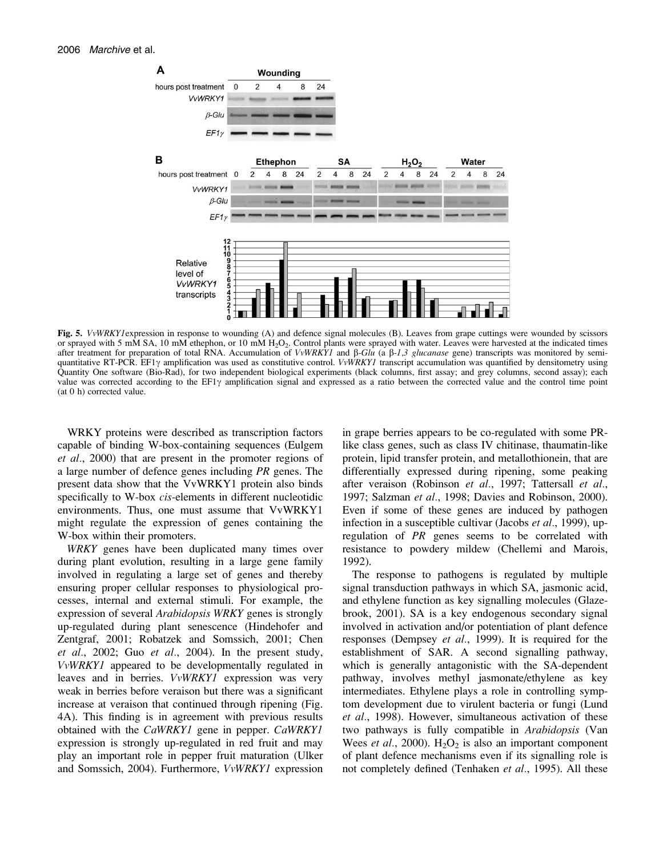

Fig. 5. VvWRKY1 expression in response to wounding (A) and defence signal molecules (B). Leaves from grape cuttings were wounded by scissors or sprayed with 5 mM SA, 10 mM ethephon, or 10 mM  $H_2O_2$ . Control plants were sprayed with water. Leaves were harvested at the indicated times after treatment for preparation of total RNA. Accumulation of VvWRKY1 and  $\beta$ -Glu (a  $\beta$ -1,3 glucanase gene) transcripts was monitored by semiquantitative RT-PCR. EF1 $\gamma$  amplification was used as constitutive control. *VvWRKY1* transcript accumulation was quantified by densitometry using Quantity One software (Bio-Rad), for two independent biological experiments (black columns, first assay; and grey columns, second assay); each value was corrected according to the  $EFi\gamma$  amplification signal and expressed as a ratio between the corrected value and the control time point (at 0 h) corrected value.

WRKY proteins were described as transcription factors capable of binding W-box-containing sequences (Eulgem et al., 2000) that are present in the promoter regions of a large number of defence genes including PR genes. The present data show that the VvWRKY1 protein also binds specifically to W-box *cis*-elements in different nucleotidic environments. Thus, one must assume that VvWRKY1 might regulate the expression of genes containing the W-box within their promoters.

WRKY genes have been duplicated many times over during plant evolution, resulting in a large gene family involved in regulating a large set of genes and thereby ensuring proper cellular responses to physiological processes, internal and external stimuli. For example, the expression of several Arabidopsis WRKY genes is strongly up-regulated during plant senescence (Hindehofer and Zentgraf, 2001; Robatzek and Somssich, 2001; Chen *et al.*, 2002; Guo *et al.*, 2004). In the present study, VvWRKY1 appeared to be developmentally regulated in leaves and in berries. VvWRKY1 expression was very weak in berries before veraison but there was a significant increase at veraison that continued through ripening (Fig. 4A). This finding is in agreement with previous results obtained with the CaWRKY1 gene in pepper. CaWRKY1 expression is strongly up-regulated in red fruit and may play an important role in pepper fruit maturation (Ulker and Somssich, 2004). Furthermore, VvWRKY1 expression

in grape berries appears to be co-regulated with some PRlike class genes, such as class IV chitinase, thaumatin-like protein, lipid transfer protein, and metallothionein, that are differentially expressed during ripening, some peaking after veraison (Robinson et al., 1997; Tattersall et al., 1997; Salzman et al., 1998; Davies and Robinson, 2000). Even if some of these genes are induced by pathogen infection in a susceptible cultivar (Jacobs et al., 1999), upregulation of PR genes seems to be correlated with resistance to powdery mildew (Chellemi and Marois, 1992).

The response to pathogens is regulated by multiple signal transduction pathways in which SA, jasmonic acid, and ethylene function as key signalling molecules (Glazebrook, 2001). SA is a key endogenous secondary signal involved in activation and/or potentiation of plant defence responses (Dempsey et al., 1999). It is required for the establishment of SAR. A second signalling pathway, which is generally antagonistic with the SA-dependent pathway, involves methyl jasmonate/ethylene as key intermediates. Ethylene plays a role in controlling symptom development due to virulent bacteria or fungi (Lund et al., 1998). However, simultaneous activation of these two pathways is fully compatible in Arabidopsis (Van Wees *et al.*, 2000).  $H_2O_2$  is also an important component of plant defence mechanisms even if its signalling role is not completely defined (Tenhaken *et al.*, 1995). All these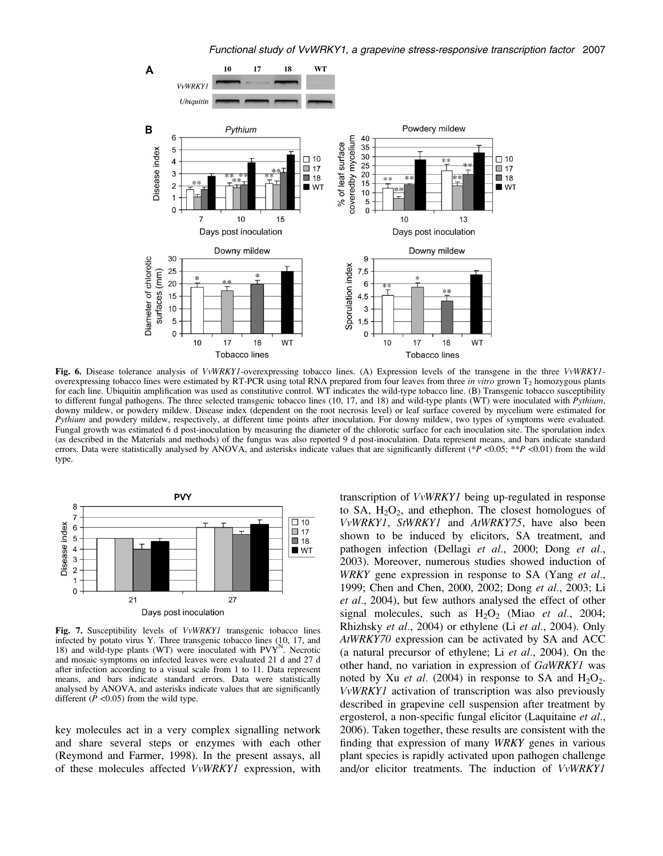

Fig. 6. Disease tolerance analysis of VvWRKYI-overexpressing tobacco lines. (A) Expression levels of the transgene in the three VvWRKYIoverexpressing tobacco lines were estimated by RT-PCR using total RNA prepared from four leaves from three in vitro grown T<sub>2</sub> homozygous plants for each line. Ubiquitin amplification was used as constitutive control. WT indicates the wild-type tobacco line. (B) Transgenic tobacco susceptibility to different fungal pathogens. The three selected transgenic tobacco lines (10, 17, and 18) and wild-type plants (WT) were inoculated with Pythium, downy mildew, or powdery mildew. Disease index (dependent on the root necrosis level) or leaf surface covered by mycelium were estimated for Pythium and powdery mildew, respectively, at different time points after inoculation. For downy mildew, two types of symptoms were evaluated. Fungal growth was estimated 6 d post-inoculation by measuring the diameter of the chlorotic surface for each inoculation site. The sporulation index (as described in the Materials and methods) of the fungus was also reported 9 d post-inoculation. Data represent means, and bars indicate standard errors. Data were statistically analysed by ANOVA, and asterisks indicate values that are significantly different (\*P <0.05; \*\*P <0.01) from the wild type.



Fig. 7. Susceptibility levels of VvWRKY1 transgenic tobacco lines infected by potato virus Y. Three transgenic tobacco lines (10, 17, and 18) and wild-type plants (WT) were inoculated with  $PVT<sup>N</sup>$ . Necrotic and mosaic symptoms on infected leaves were evaluated 21 d and 27 d after infection according to a visual scale from 1 to 11. Data represent means, and bars indicate standard errors. Data were statistically analysed by ANOVA, and asterisks indicate values that are significantly different  $(P \le 0.05)$  from the wild type.

key molecules act in a very complex signalling network and share several steps or enzymes with each other (Reymond and Farmer, 1998). In the present assays, all of these molecules affected VvWRKY1 expression, with transcription of VvWRKY1 being up-regulated in response to SA,  $H_2O_2$ , and ethephon. The closest homologues of VvWRKY1, StWRKY1 and AtWRKY75, have also been shown to be induced by elicitors, SA treatment, and pathogen infection (Dellagi et al., 2000; Dong et al., 2003). Moreover, numerous studies showed induction of WRKY gene expression in response to SA (Yang et al., 1999; Chen and Chen, 2000, 2002; Dong et al., 2003; Li et al., 2004), but few authors analysed the effect of other signal molecules, such as  $H_2O_2$  (Miao et al., 2004; Rhizhsky et al., 2004) or ethylene (Li et al., 2004). Only AtWRKY70 expression can be activated by SA and ACC (a natural precursor of ethylene; Li et al., 2004). On the other hand, no variation in expression of GaWRKY1 was noted by Xu *et al.* (2004) in response to SA and  $H_2O_2$ . VvWRKY1 activation of transcription was also previously described in grapevine cell suspension after treatment by ergosterol, a non-specific fungal elicitor (Laquitaine et al., 2006). Taken together, these results are consistent with the finding that expression of many WRKY genes in various plant species is rapidly activated upon pathogen challenge and/or elicitor treatments. The induction of VvWRKY1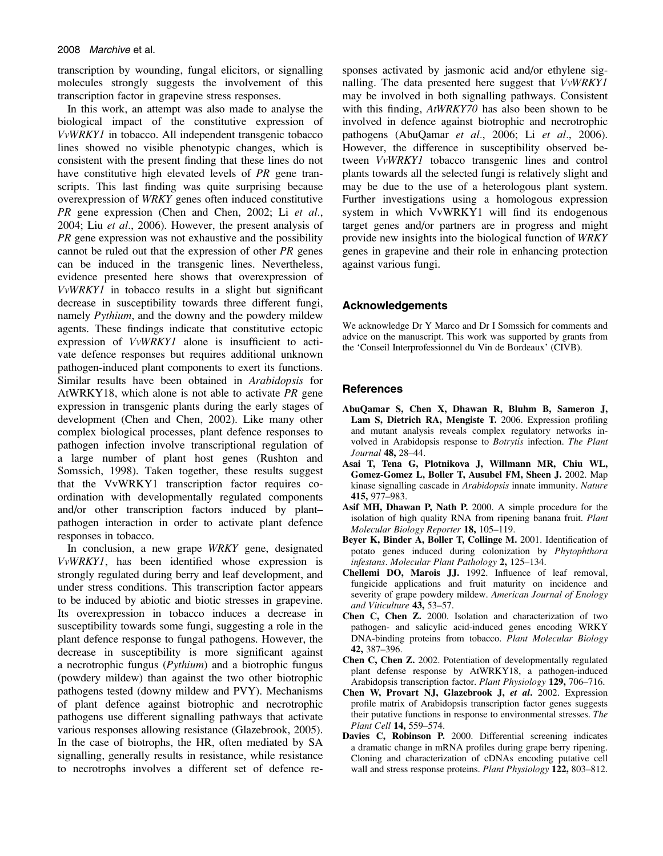transcription by wounding, fungal elicitors, or signalling molecules strongly suggests the involvement of this transcription factor in grapevine stress responses.

In this work, an attempt was also made to analyse the biological impact of the constitutive expression of VvWRKY1 in tobacco. All independent transgenic tobacco lines showed no visible phenotypic changes, which is consistent with the present finding that these lines do not have constitutive high elevated levels of PR gene transcripts. This last finding was quite surprising because overexpression of WRKY genes often induced constitutive PR gene expression (Chen and Chen, 2002; Li et al., 2004; Liu et al., 2006). However, the present analysis of PR gene expression was not exhaustive and the possibility cannot be ruled out that the expression of other PR genes can be induced in the transgenic lines. Nevertheless, evidence presented here shows that overexpression of VvWRKY1 in tobacco results in a slight but significant decrease in susceptibility towards three different fungi, namely *Pythium*, and the downy and the powdery mildew agents. These findings indicate that constitutive ectopic expression of VvWRKY1 alone is insufficient to activate defence responses but requires additional unknown pathogen-induced plant components to exert its functions. Similar results have been obtained in Arabidopsis for AtWRKY18, which alone is not able to activate PR gene expression in transgenic plants during the early stages of development (Chen and Chen, 2002). Like many other complex biological processes, plant defence responses to pathogen infection involve transcriptional regulation of a large number of plant host genes (Rushton and Somssich, 1998). Taken together, these results suggest that the VvWRKY1 transcription factor requires coordination with developmentally regulated components and/or other transcription factors induced by plant– pathogen interaction in order to activate plant defence responses in tobacco.

In conclusion, a new grape WRKY gene, designated VvWRKY1, has been identified whose expression is strongly regulated during berry and leaf development, and under stress conditions. This transcription factor appears to be induced by abiotic and biotic stresses in grapevine. Its overexpression in tobacco induces a decrease in susceptibility towards some fungi, suggesting a role in the plant defence response to fungal pathogens. However, the decrease in susceptibility is more significant against a necrotrophic fungus (Pythium) and a biotrophic fungus (powdery mildew) than against the two other biotrophic pathogens tested (downy mildew and PVY). Mechanisms of plant defence against biotrophic and necrotrophic pathogens use different signalling pathways that activate various responses allowing resistance (Glazebrook, 2005). In the case of biotrophs, the HR, often mediated by SA signalling, generally results in resistance, while resistance to necrotrophs involves a different set of defence responses activated by jasmonic acid and/or ethylene signalling. The data presented here suggest that VvWRKY1 may be involved in both signalling pathways. Consistent with this finding, AtWRKY70 has also been shown to be involved in defence against biotrophic and necrotrophic pathogens (AbuQamar et al., 2006; Li et al., 2006). However, the difference in susceptibility observed between VvWRKY1 tobacco transgenic lines and control plants towards all the selected fungi is relatively slight and may be due to the use of a heterologous plant system. Further investigations using a homologous expression system in which VvWRKY1 will find its endogenous target genes and/or partners are in progress and might provide new insights into the biological function of WRKY genes in grapevine and their role in enhancing protection against various fungi.

### Acknowledgements

We acknowledge Dr Y Marco and Dr I Somssich for comments and advice on the manuscript. This work was supported by grants from the 'Conseil Interprofessionnel du Vin de Bordeaux' (CIVB).

# **References**

- AbuQamar S, Chen X, Dhawan R, Bluhm B, Sameron J, Lam S, Dietrich RA, Mengiste T. 2006. Expression profiling and mutant analysis reveals complex regulatory networks involved in Arabidopsis response to Botrytis infection. The Plant Journal 48, 28-44.
- Asai T, Tena G, Plotnikova J, Willmann MR, Chiu WL, Gomez-Gomez L, Boller T, Ausubel FM, Sheen J. 2002. Map kinase signalling cascade in Arabidopsis innate immunity. Nature 415, 977–983.
- Asif MH, Dhawan P, Nath P. 2000. A simple procedure for the isolation of high quality RNA from ripening banana fruit. Plant Molecular Biology Reporter 18, 105–119.
- Beyer K, Binder A, Boller T, Collinge M. 2001. Identification of potato genes induced during colonization by Phytophthora infestans. Molecular Plant Pathology 2, 125–134.
- Chellemi DO, Marois JJ. 1992. Influence of leaf removal, fungicide applications and fruit maturity on incidence and severity of grape powdery mildew. American Journal of Enology and Viticulture 43, 53–57.
- Chen C, Chen Z. 2000. Isolation and characterization of two pathogen- and salicylic acid-induced genes encoding WRKY DNA-binding proteins from tobacco. Plant Molecular Biology 42, 387–396.
- Chen C, Chen Z. 2002. Potentiation of developmentally regulated plant defense response by AtWRKY18, a pathogen-induced Arabidopsis transcription factor. Plant Physiology 129, 706–716.
- Chen W, Provart NJ, Glazebrook J, et al. 2002. Expression profile matrix of Arabidopsis transcription factor genes suggests their putative functions in response to environmental stresses. The Plant Cell 14, 559–574.
- Davies C. Robinson P. 2000. Differential screening indicates a dramatic change in mRNA profiles during grape berry ripening. Cloning and characterization of cDNAs encoding putative cell wall and stress response proteins. *Plant Physiology* 122, 803–812.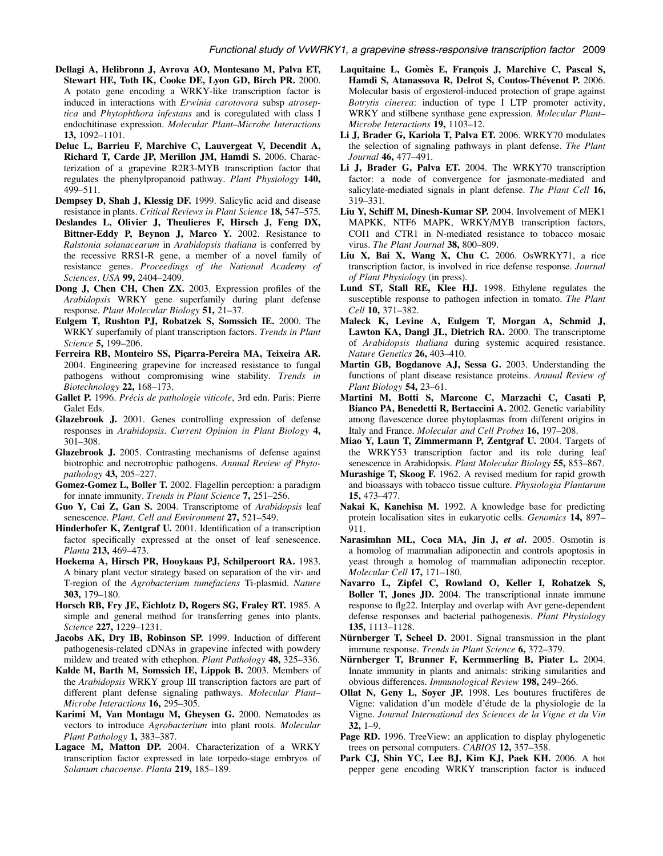- Dellagi A, Helibronn J, Avrova AO, Montesano M, Palva ET, Stewart HE, Toth IK, Cooke DE, Lyon GD, Birch PR. 2000. A potato gene encoding a WRKY-like transcription factor is induced in interactions with Erwinia carotovora subsp atroseptica and Phytophthora infestans and is coregulated with class I endochitinase expression. Molecular Plant–Microbe Interactions 13, 1092–1101.
- Deluc L, Barrieu F, Marchive C, Lauvergeat V, Decendit A, Richard T, Carde JP, Merillon JM, Hamdi S. 2006. Characterization of a grapevine R2R3-MYB transcription factor that regulates the phenylpropanoid pathway. Plant Physiology 140, 499–511.
- Dempsey D, Shah J, Klessig DF. 1999. Salicylic acid and disease resistance in plants. Critical Reviews in Plant Science 18, 547-575.
- Deslandes L, Olivier J, Theulieres F, Hirsch J, Feng DX, Bittner-Eddy P, Beynon J, Marco Y. 2002. Resistance to Ralstonia solanacearum in Arabidopsis thaliana is conferred by the recessive RRS1-R gene, a member of a novel family of resistance genes. Proceedings of the National Academy of Sciences, USA 99, 2404-2409.
- Dong J, Chen CH, Chen ZX. 2003. Expression profiles of the Arabidopsis WRKY gene superfamily during plant defense response. Plant Molecular Biology 51, 21–37.
- Eulgem T, Rushton PJ, Robatzek S, Somssich IE. 2000. The WRKY superfamily of plant transcription factors. *Trends in Plant* Science 5, 199-206.
- Ferreira RB, Monteiro SS, Picarra-Pereira MA, Teixeira AR. 2004. Engineering grapevine for increased resistance to fungal pathogens without compromising wine stability. Trends in Biotechnology 22, 168–173.
- Gallet P. 1996. Précis de pathologie viticole, 3rd edn. Paris: Pierre Galet Eds.
- Glazebrook J. 2001. Genes controlling expression of defense responses in Arabidopsis. Current Opinion in Plant Biology 4, 301–308.
- Glazebrook J. 2005. Contrasting mechanisms of defense against biotrophic and necrotrophic pathogens. Annual Review of Phytopathology **43,** 205–227.
- Gomez-Gomez L, Boller T. 2002. Flagellin perception: a paradigm for innate immunity. Trends in Plant Science 7, 251-256.
- Guo Y, Cai Z, Gan S. 2004. Transcriptome of Arabidopsis leaf senescence. Plant, Cell and Environment 27, 521-549.
- Hinderhofer K, Zentgraf U. 2001. Identification of a transcription factor specifically expressed at the onset of leaf senescence. Planta 213, 469–473.
- Hoekema A, Hirsch PR, Hooykaas PJ, Schilperoort RA. 1983. A binary plant vector strategy based on separation of the vir- and T-region of the Agrobacterium tumefaciens Ti-plasmid. Nature 303, 179–180.
- Horsch RB, Fry JE, Eichlotz D, Rogers SG, Fraley RT. 1985. A simple and general method for transferring genes into plants. Science 227, 1229-1231.
- Jacobs AK, Dry IB, Robinson SP. 1999. Induction of different pathogenesis-related cDNAs in grapevine infected with powdery mildew and treated with ethephon. Plant Pathology 48, 325–336.
- Kalde M, Barth M, Somssich IE, Lippok B. 2003. Members of the Arabidopsis WRKY group III transcription factors are part of different plant defense signaling pathways. Molecular Plant-Microbe Interactions 16, 295–305.
- Karimi M, Van Montagu M, Gheysen G. 2000. Nematodes as vectors to introduce Agrobacterium into plant roots. Molecular Plant Pathology 1, 383-387.
- Lagace M, Matton DP. 2004. Characterization of a WRKY transcription factor expressed in late torpedo-stage embryos of Solanum chacoense. Planta 219, 185–189.
- Laquitaine L, Gomès E, François J, Marchive C, Pascal S, Hamdi S, Atanassova R, Delrot S, Coutos-Thévenot P. 2006. Molecular basis of ergosterol-induced protection of grape against Botrytis cinerea: induction of type I LTP promoter activity, WRKY and stilbene synthase gene expression. Molecular Plant– Microbe Interactions **19**, 1103–12.
- Li J, Brader G, Kariola T, Palva ET. 2006. WRKY70 modulates the selection of signaling pathways in plant defense. The Plant Journal 46, 477–491.
- Li J, Brader G, Palva ET. 2004. The WRKY70 transcription factor: a node of convergence for jasmonate-mediated and salicylate-mediated signals in plant defense. The Plant Cell 16, 319–331.
- Liu Y, Schiff M, Dinesh-Kumar SP. 2004. Involvement of MEK1 MAPKK, NTF6 MAPK, WRKY/MYB transcription factors, COI1 and CTR1 in N-mediated resistance to tobacco mosaic virus. The Plant Journal 38, 800-809.
- Liu X, Bai X, Wang X, Chu C. 2006. OsWRKY71, a rice transcription factor, is involved in rice defense response. Journal of Plant Physiology (in press).
- Lund ST, Stall RE, Klee HJ. 1998. Ethylene regulates the susceptible response to pathogen infection in tomato. The Plant Cell 10, 371-382.
- Maleck K, Levine A, Eulgem T, Morgan A, Schmid J, Lawton KA, Dangl JL, Dietrich RA. 2000. The transcriptome of Arabidopsis thaliana during systemic acquired resistance. Nature Genetics 26, 403–410.
- Martin GB, Bogdanove AJ, Sessa G. 2003. Understanding the functions of plant disease resistance proteins. Annual Review of Plant Biology 54, 23–61.
- Martini M, Botti S, Marcone C, Marzachi C, Casati P, Bianco PA, Benedetti R, Bertaccini A. 2002. Genetic variability among flavescence doree phytoplasmas from different origins in Italy and France. Molecular and Cell Probes 16, 197–208.
- Miao Y, Laun T, Zimmermann P, Zentgraf U. 2004. Targets of the WRKY53 transcription factor and its role during leaf senescence in Arabidopsis. Plant Molecular Biology 55, 853–867.
- Murashige T, Skoog F. 1962. A revised medium for rapid growth and bioassays with tobacco tissue culture. Physiologia Plantarum 15, 473–477.
- Nakai K, Kanehisa M. 1992. A knowledge base for predicting protein localisation sites in eukaryotic cells. Genomics 14, 897-911.
- Narasimhan ML, Coca MA, Jin J, et al. 2005. Osmotin is a homolog of mammalian adiponectin and controls apoptosis in yeast through a homolog of mammalian adiponectin receptor. Molecular Cell 17, 171–180.
- Navarro L, Zipfel C, Rowland O, Keller I, Robatzek S, Boller T, Jones JD. 2004. The transcriptional innate immune response to flg22. Interplay and overlap with Avr gene-dependent defense responses and bacterial pathogenesis. Plant Physiology 135, 1113–1128.
- Nürnberger T, Scheel D. 2001. Signal transmission in the plant immune response. Trends in Plant Science 6, 372-379.
- Nürnberger T, Brunner F, Kermmerling B, Piater L. 2004. Innate immunity in plants and animals: striking similarities and obvious differences. *Immunological Review* 198, 249–266.
- Ollat N, Geny L, Soyer JP. 1998. Les boutures fructifères de Vigne: validation d'un modèle d'étude de la physiologie de la Vigne. Journal International des Sciences de la Vigne et du Vin 32, 1–9.
- Page RD. 1996. TreeView: an application to display phylogenetic trees on personal computers. CABIOS 12, 357–358.
- Park CJ, Shin YC, Lee BJ, Kim KJ, Paek KH. 2006. A hot pepper gene encoding WRKY transcription factor is induced